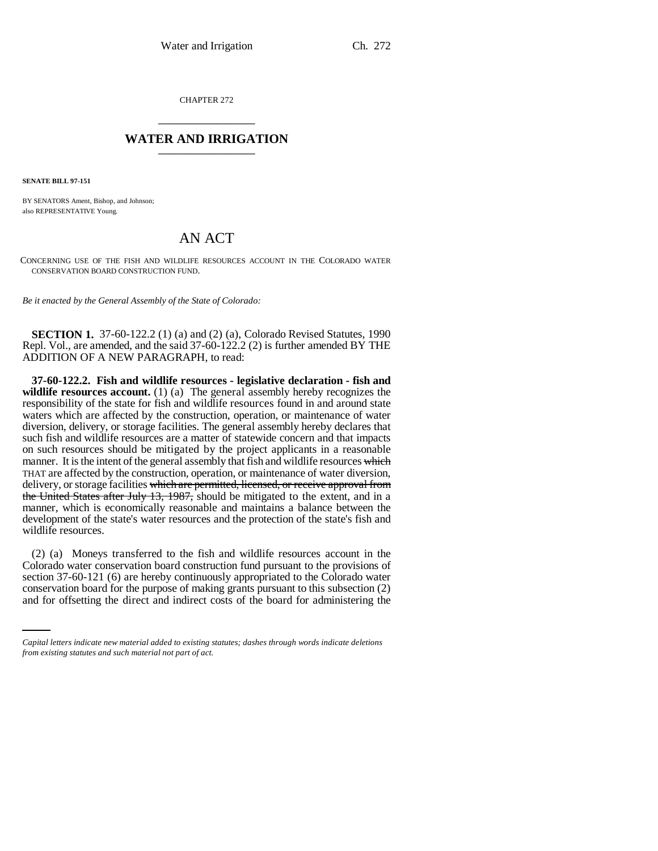CHAPTER 272 \_\_\_\_\_\_\_\_\_\_\_\_\_\_\_

## **WATER AND IRRIGATION** \_\_\_\_\_\_\_\_\_\_\_\_\_\_\_

**SENATE BILL 97-151**

BY SENATORS Ament, Bishop, and Johnson; also REPRESENTATIVE Young.

## AN ACT

CONCERNING USE OF THE FISH AND WILDLIFE RESOURCES ACCOUNT IN THE COLORADO WATER CONSERVATION BOARD CONSTRUCTION FUND.

*Be it enacted by the General Assembly of the State of Colorado:*

**SECTION 1.** 37-60-122.2 (1) (a) and (2) (a), Colorado Revised Statutes, 1990 Repl. Vol., are amended, and the said 37-60-122.2 (2) is further amended BY THE ADDITION OF A NEW PARAGRAPH, to read:

**37-60-122.2. Fish and wildlife resources - legislative declaration - fish and** wildlife **resources account.** (1) (a) The general assembly hereby recognizes the responsibility of the state for fish and wildlife resources found in and around state waters which are affected by the construction, operation, or maintenance of water diversion, delivery, or storage facilities. The general assembly hereby declares that such fish and wildlife resources are a matter of statewide concern and that impacts on such resources should be mitigated by the project applicants in a reasonable manner. It is the intent of the general assembly that fish and wildlife resources which THAT are affected by the construction, operation, or maintenance of water diversion, delivery, or storage facilities which are permitted, licensed, or receive approval from the United States after July 13, 1987, should be mitigated to the extent, and in a manner, which is economically reasonable and maintains a balance between the development of the state's water resources and the protection of the state's fish and wildlife resources.

section 37-60-121 (6) are hereby continuously appropriated to the Colorado water (2) (a) Moneys transferred to the fish and wildlife resources account in the Colorado water conservation board construction fund pursuant to the provisions of conservation board for the purpose of making grants pursuant to this subsection (2) and for offsetting the direct and indirect costs of the board for administering the

*Capital letters indicate new material added to existing statutes; dashes through words indicate deletions from existing statutes and such material not part of act.*